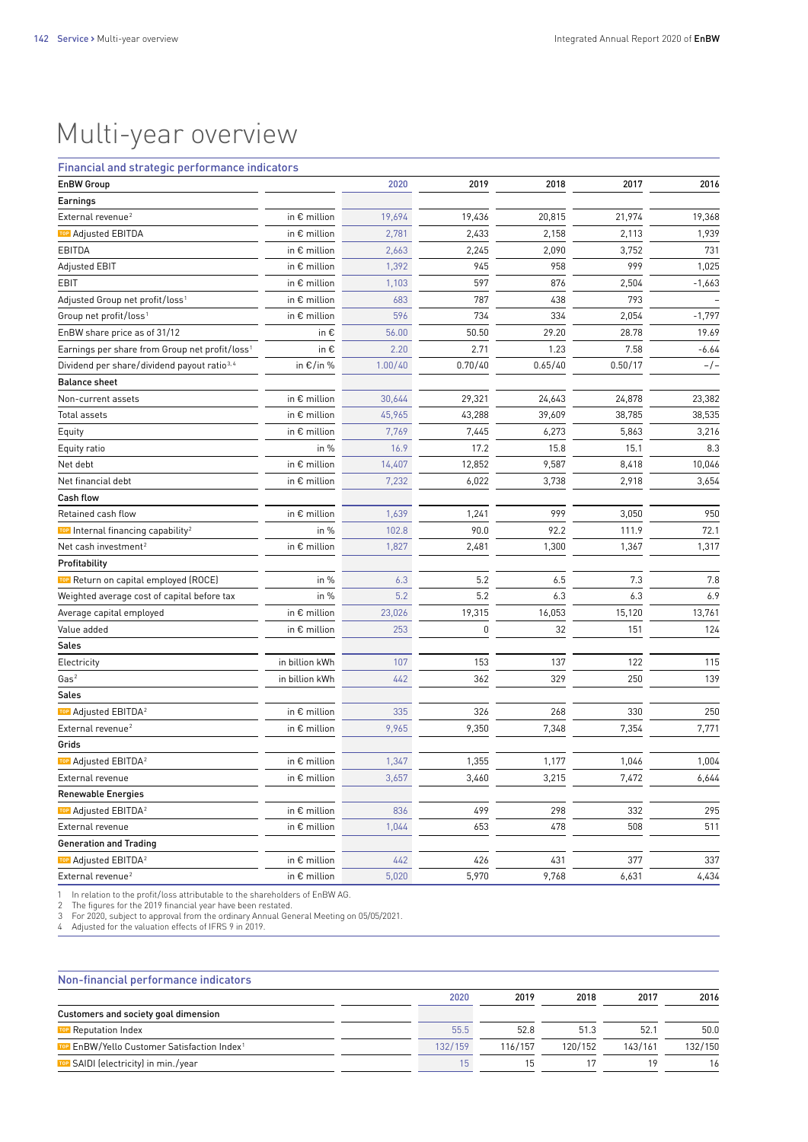## Multi-year overview

## Financial and strategic performance indicators

| <b>EnBW Group</b>                                          |                       | 2020    | 2019    | 2018    | 2017    | 2016     |
|------------------------------------------------------------|-----------------------|---------|---------|---------|---------|----------|
| Earnings                                                   |                       |         |         |         |         |          |
| External revenue <sup>2</sup>                              | in € million          | 19,694  | 19,436  | 20,815  | 21,974  | 19,368   |
| TOP Adjusted EBITDA                                        | in € million          | 2,781   | 2,433   | 2,158   | 2,113   | 1,939    |
| EBITDA                                                     | in € million          | 2,663   | 2,245   | 2,090   | 3,752   | 731      |
| <b>Adjusted EBIT</b>                                       | in € million          | 1,392   | 945     | 958     | 999     | 1,025    |
| EBIT                                                       | in $\epsilon$ million | 1,103   | 597     | 876     | 2,504   | $-1,663$ |
| Adjusted Group net profit/loss <sup>1</sup>                | in € million          | 683     | 787     | 438     | 793     |          |
| Group net profit/loss <sup>1</sup>                         | in € million          | 596     | 734     | 334     | 2,054   | $-1,797$ |
| EnBW share price as of 31/12                               | in €                  | 56.00   | 50.50   | 29.20   | 28.78   | 19.69    |
| Earnings per share from Group net profit/loss <sup>1</sup> | in €                  | 2.20    | 2.71    | 1.23    | 7.58    | $-6.64$  |
| Dividend per share/dividend payout ratio <sup>3,4</sup>    | in €/in %             | 1.00/40 | 0.70/40 | 0.65/40 | 0.50/17 | $-/-$    |
| <b>Balance sheet</b>                                       |                       |         |         |         |         |          |
| Non-current assets                                         | in $\epsilon$ million | 30,644  | 29,321  | 24,643  | 24,878  | 23,382   |
| Total assets                                               | in $\epsilon$ million | 45,965  | 43,288  | 39,609  | 38,785  | 38,535   |
| Equity                                                     | in $\epsilon$ million | 7,769   | 7,445   | 6,273   | 5,863   | 3,216    |
| Equity ratio                                               | in %                  | 16.9    | 17.2    | 15.8    | 15.1    | 8.3      |
| Net debt                                                   | in $\epsilon$ million | 14,407  | 12,852  | 9,587   | 8,418   | 10,046   |
| Net financial debt                                         | in $\epsilon$ million | 7,232   | 6,022   | 3,738   | 2,918   | 3,654    |
| <b>Cash flow</b>                                           |                       |         |         |         |         |          |
| Retained cash flow                                         | in € million          | 1,639   | 1,241   | 999     | 3,050   | 950      |
| TOP Internal financing capability <sup>2</sup>             | in %                  | 102.8   | 90.0    | 92.2    | 111.9   | 72.1     |
| Net cash investment <sup>2</sup>                           | in $\epsilon$ million | 1,827   | 2,481   | 1,300   | 1,367   | 1,317    |
| Profitability                                              |                       |         |         |         |         |          |
| TOP Return on capital employed (ROCE)                      | in %                  | 6.3     | 5.2     | 6.5     | 7.3     | 7.8      |
| Weighted average cost of capital before tax                | in %                  | 5.2     | 5.2     | 6.3     | 6.3     | 6.9      |
| Average capital employed                                   | in € million          | 23,026  | 19,315  | 16,053  | 15,120  | 13,761   |
| Value added                                                | in $\epsilon$ million | 253     | 0       | 32      | 151     | 124      |
| Sales                                                      |                       |         |         |         |         |          |
| Electricity                                                | in billion kWh        | 107     | 153     | 137     | 122     | 115      |
| Gas <sup>2</sup>                                           | in billion kWh        | 442     | 362     | 329     | 250     | 139      |
| Sales                                                      |                       |         |         |         |         |          |
| TOP Adjusted EBITDA <sup>2</sup>                           | in € million          | 335     | 326     | 268     | 330     | 250      |
| External revenue <sup>2</sup>                              | in $\epsilon$ million | 9,965   | 9,350   | 7,348   | 7,354   | 7,771    |
| Grids                                                      |                       |         |         |         |         |          |
| TOP Adjusted EBITDA <sup>2</sup>                           | in $\epsilon$ million | 1,347   | 1,355   | 1,177   | 1,046   | 1,004    |
| External revenue                                           | in $\epsilon$ million | 3,657   | 3,460   | 3,215   | 7,472   | 6,644    |
| <b>Renewable Energies</b>                                  |                       |         |         |         |         |          |
| TOP Adjusted EBITDA <sup>2</sup>                           | in € million          | 836     | 499     | 298     | 332     | 295      |
| External revenue                                           | in $\epsilon$ million | 1,044   | 653     | 478     | 508     | 511      |
| <b>Generation and Trading</b>                              |                       |         |         |         |         |          |
| TOP Adjusted EBITDA <sup>2</sup>                           | in € million          | 442     | 426     | 431     | 377     | 337      |
| External revenue <sup>2</sup>                              | in $\epsilon$ million | 5,020   | 5,970   | 9,768   | 6,631   | 4,434    |

1 In relation to the profit  /  loss attributable to the shareholders of EnBW AG. 2 The figures for the 2019 financial year have been restated.

3 For 2020, subject to approval from the ordinary Annual General Meeting on 05/05/2021.<br>4 Adjusted for the valuation effects of IFRS 9 in 2019.

| 2016    |
|---------|
|         |
| 50.0    |
| 132/150 |
| 16      |
|         |